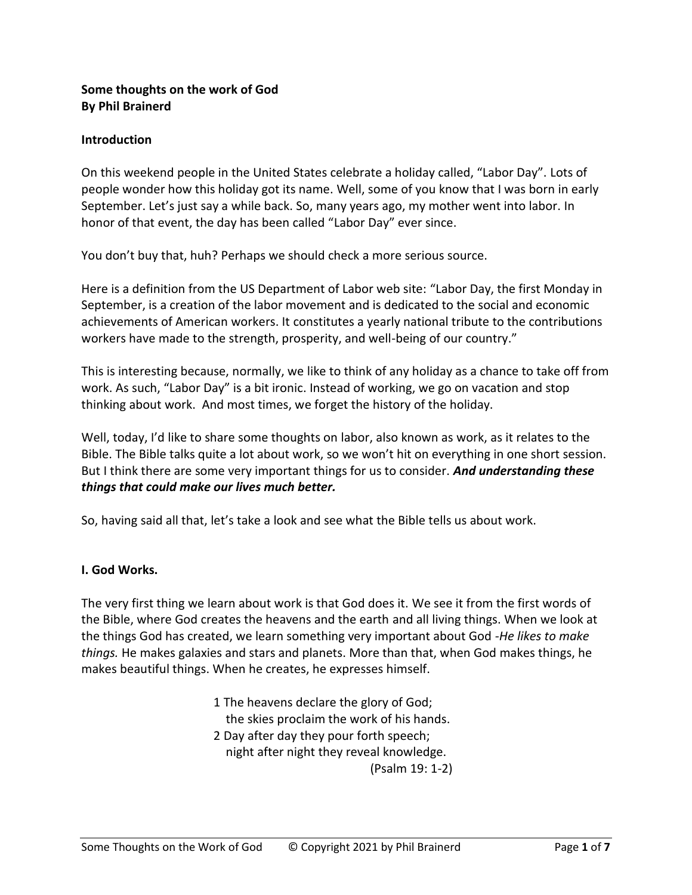### **Some thoughts on the work of God By Phil Brainerd**

### **Introduction**

On this weekend people in the United States celebrate a holiday called, "Labor Day". Lots of people wonder how this holiday got its name. Well, some of you know that I was born in early September. Let's just say a while back. So, many years ago, my mother went into labor. In honor of that event, the day has been called "Labor Day" ever since.

You don't buy that, huh? Perhaps we should check a more serious source.

Here is a definition from the US Department of Labor web site: "Labor Day, the first Monday in September, is a creation of the labor movement and is dedicated to the social and economic achievements of American workers. It constitutes a yearly national tribute to the contributions workers have made to the strength, prosperity, and well-being of our country."

This is interesting because, normally, we like to think of any holiday as a chance to take off from work. As such, "Labor Day" is a bit ironic. Instead of working, we go on vacation and stop thinking about work. And most times, we forget the history of the holiday.

Well, today, I'd like to share some thoughts on labor, also known as work, as it relates to the Bible. The Bible talks quite a lot about work, so we won't hit on everything in one short session. But I think there are some very important things for us to consider. *And understanding these things that could make our lives much better.*

So, having said all that, let's take a look and see what the Bible tells us about work.

## **I. God Works.**

The very first thing we learn about work is that God does it. We see it from the first words of the Bible, where God creates the heavens and the earth and all living things. When we look at the things God has created, we learn something very important about God *-He likes to make things.* He makes galaxies and stars and planets. More than that, when God makes things, he makes beautiful things. When he creates, he expresses himself.

> 1 The heavens declare the glory of God; the skies proclaim the work of his hands. 2 Day after day they pour forth speech; night after night they reveal knowledge. (Psalm 19: 1-2)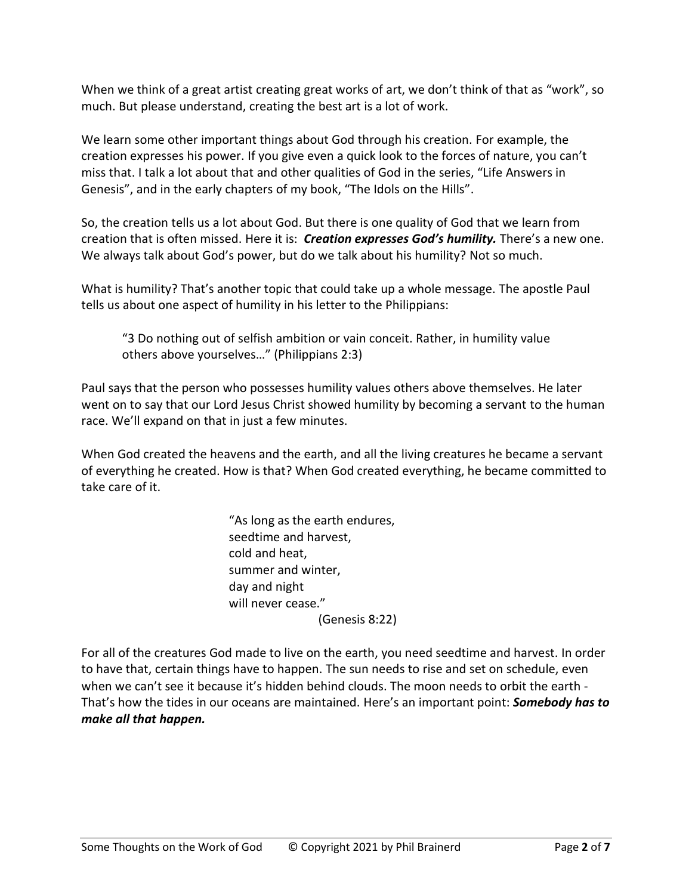When we think of a great artist creating great works of art, we don't think of that as "work", so much. But please understand, creating the best art is a lot of work.

We learn some other important things about God through his creation. For example, the creation expresses his power. If you give even a quick look to the forces of nature, you can't miss that. I talk a lot about that and other qualities of God in the series, "Life Answers in Genesis", and in the early chapters of my book, "The Idols on the Hills".

So, the creation tells us a lot about God. But there is one quality of God that we learn from creation that is often missed. Here it is: *Creation expresses God's humility.* There's a new one. We always talk about God's power, but do we talk about his humility? Not so much.

What is humility? That's another topic that could take up a whole message. The apostle Paul tells us about one aspect of humility in his letter to the Philippians:

"3 Do nothing out of selfish ambition or vain conceit. Rather, in humility value others above yourselves…" (Philippians 2:3)

Paul says that the person who possesses humility values others above themselves. He later went on to say that our Lord Jesus Christ showed humility by becoming a servant to the human race. We'll expand on that in just a few minutes.

When God created the heavens and the earth, and all the living creatures he became a servant of everything he created. How is that? When God created everything, he became committed to take care of it.

> "As long as the earth endures, seedtime and harvest, cold and heat, summer and winter, day and night will never cease." (Genesis 8:22)

For all of the creatures God made to live on the earth, you need seedtime and harvest. In order to have that, certain things have to happen. The sun needs to rise and set on schedule, even when we can't see it because it's hidden behind clouds. The moon needs to orbit the earth - That's how the tides in our oceans are maintained. Here's an important point: *Somebody has to make all that happen.*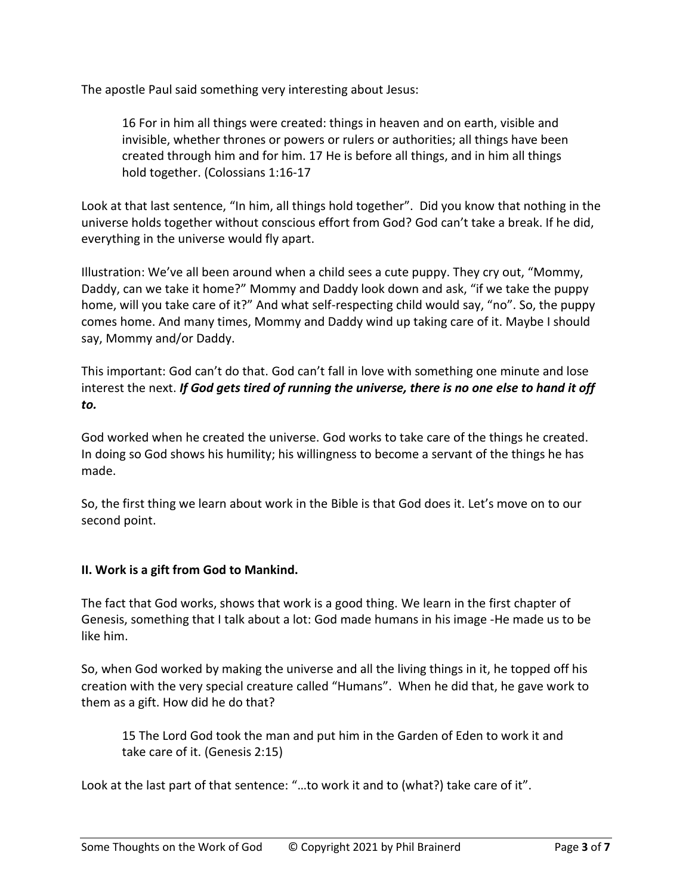The apostle Paul said something very interesting about Jesus:

16 For in him all things were created: things in heaven and on earth, visible and invisible, whether thrones or powers or rulers or authorities; all things have been created through him and for him. 17 He is before all things, and in him all things hold together. (Colossians 1:16-17

Look at that last sentence, "In him, all things hold together". Did you know that nothing in the universe holds together without conscious effort from God? God can't take a break. If he did, everything in the universe would fly apart.

Illustration: We've all been around when a child sees a cute puppy. They cry out, "Mommy, Daddy, can we take it home?" Mommy and Daddy look down and ask, "if we take the puppy home, will you take care of it?" And what self-respecting child would say, "no". So, the puppy comes home. And many times, Mommy and Daddy wind up taking care of it. Maybe I should say, Mommy and/or Daddy.

This important: God can't do that. God can't fall in love with something one minute and lose interest the next. *If God gets tired of running the universe, there is no one else to hand it off to.*

God worked when he created the universe. God works to take care of the things he created. In doing so God shows his humility; his willingness to become a servant of the things he has made.

So, the first thing we learn about work in the Bible is that God does it. Let's move on to our second point.

### **II. Work is a gift from God to Mankind.**

The fact that God works, shows that work is a good thing. We learn in the first chapter of Genesis, something that I talk about a lot: God made humans in his image -He made us to be like him.

So, when God worked by making the universe and all the living things in it, he topped off his creation with the very special creature called "Humans". When he did that, he gave work to them as a gift. How did he do that?

15 The Lord God took the man and put him in the Garden of Eden to work it and take care of it. (Genesis 2:15)

Look at the last part of that sentence: "…to work it and to (what?) take care of it".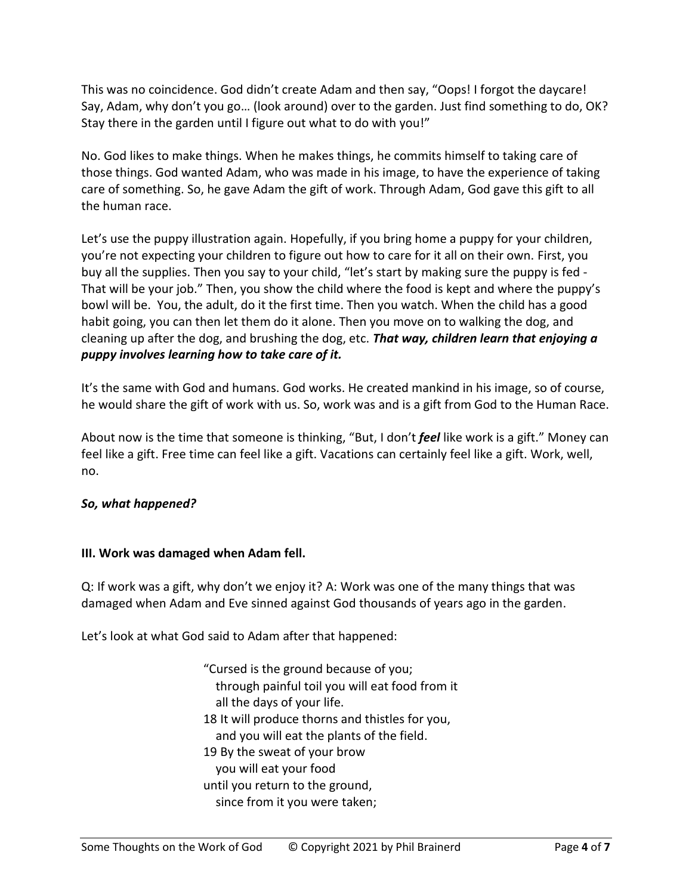This was no coincidence. God didn't create Adam and then say, "Oops! I forgot the daycare! Say, Adam, why don't you go… (look around) over to the garden. Just find something to do, OK? Stay there in the garden until I figure out what to do with you!"

No. God likes to make things. When he makes things, he commits himself to taking care of those things. God wanted Adam, who was made in his image, to have the experience of taking care of something. So, he gave Adam the gift of work. Through Adam, God gave this gift to all the human race.

Let's use the puppy illustration again. Hopefully, if you bring home a puppy for your children, you're not expecting your children to figure out how to care for it all on their own. First, you buy all the supplies. Then you say to your child, "let's start by making sure the puppy is fed - That will be your job." Then, you show the child where the food is kept and where the puppy's bowl will be. You, the adult, do it the first time. Then you watch. When the child has a good habit going, you can then let them do it alone. Then you move on to walking the dog, and cleaning up after the dog, and brushing the dog, etc. *That way, children learn that enjoying a puppy involves learning how to take care of it.*

It's the same with God and humans. God works. He created mankind in his image, so of course, he would share the gift of work with us. So, work was and is a gift from God to the Human Race.

About now is the time that someone is thinking, "But, I don't *feel* like work is a gift." Money can feel like a gift. Free time can feel like a gift. Vacations can certainly feel like a gift. Work, well, no.

### *So, what happened?*

### **III. Work was damaged when Adam fell.**

Q: If work was a gift, why don't we enjoy it? A: Work was one of the many things that was damaged when Adam and Eve sinned against God thousands of years ago in the garden.

Let's look at what God said to Adam after that happened:

"Cursed is the ground because of you; through painful toil you will eat food from it all the days of your life. 18 It will produce thorns and thistles for you, and you will eat the plants of the field. 19 By the sweat of your brow you will eat your food until you return to the ground, since from it you were taken;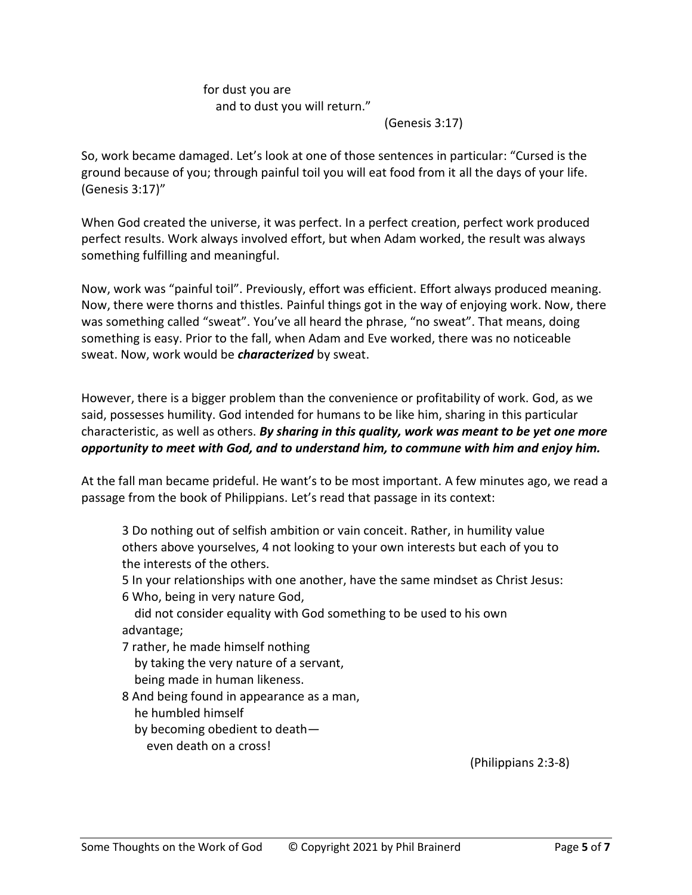# for dust you are and to dust you will return."

(Genesis 3:17)

So, work became damaged. Let's look at one of those sentences in particular: "Cursed is the ground because of you; through painful toil you will eat food from it all the days of your life. (Genesis 3:17)"

When God created the universe, it was perfect. In a perfect creation, perfect work produced perfect results. Work always involved effort, but when Adam worked, the result was always something fulfilling and meaningful.

Now, work was "painful toil". Previously, effort was efficient. Effort always produced meaning. Now, there were thorns and thistles. Painful things got in the way of enjoying work. Now, there was something called "sweat". You've all heard the phrase, "no sweat". That means, doing something is easy. Prior to the fall, when Adam and Eve worked, there was no noticeable sweat. Now, work would be *characterized* by sweat.

However, there is a bigger problem than the convenience or profitability of work. God, as we said, possesses humility. God intended for humans to be like him, sharing in this particular characteristic, as well as others. *By sharing in this quality, work was meant to be yet one more opportunity to meet with God, and to understand him, to commune with him and enjoy him.*

At the fall man became prideful. He want's to be most important. A few minutes ago, we read a passage from the book of Philippians. Let's read that passage in its context:

3 Do nothing out of selfish ambition or vain conceit. Rather, in humility value others above yourselves, 4 not looking to your own interests but each of you to the interests of the others.

5 In your relationships with one another, have the same mindset as Christ Jesus:

6 Who, being in very nature God,

 did not consider equality with God something to be used to his own advantage;

7 rather, he made himself nothing by taking the very nature of a servant, being made in human likeness.

8 And being found in appearance as a man, he humbled himself by becoming obedient to death even death on a cross!

(Philippians 2:3-8)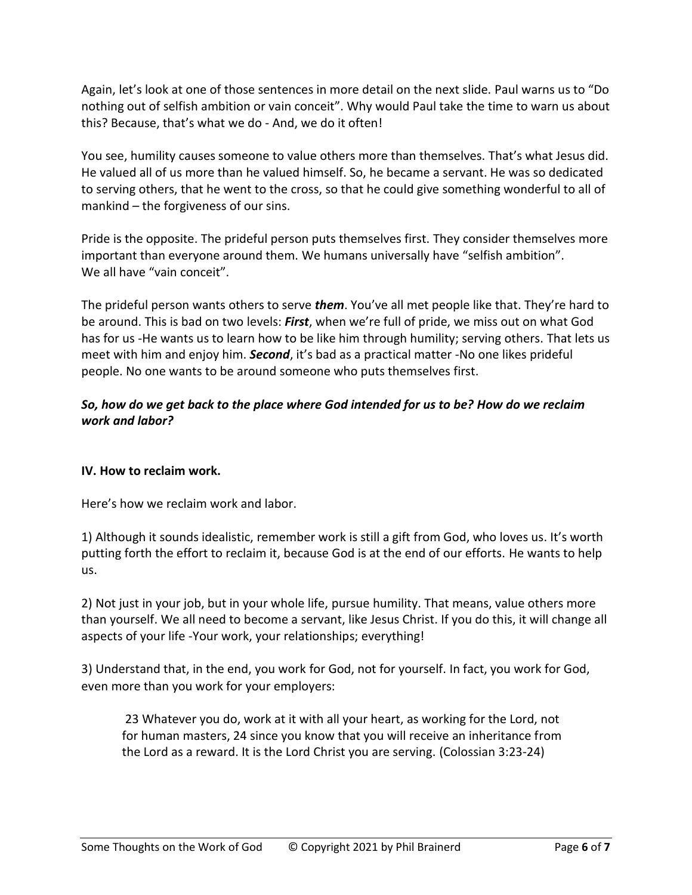Again, let's look at one of those sentences in more detail on the next slide. Paul warns us to "Do nothing out of selfish ambition or vain conceit". Why would Paul take the time to warn us about this? Because, that's what we do - And, we do it often!

You see, humility causes someone to value others more than themselves. That's what Jesus did. He valued all of us more than he valued himself. So, he became a servant. He was so dedicated to serving others, that he went to the cross, so that he could give something wonderful to all of mankind – the forgiveness of our sins.

Pride is the opposite. The prideful person puts themselves first. They consider themselves more important than everyone around them. We humans universally have "selfish ambition". We all have "vain conceit".

The prideful person wants others to serve *them*. You've all met people like that. They're hard to be around. This is bad on two levels: *First*, when we're full of pride, we miss out on what God has for us -He wants us to learn how to be like him through humility; serving others. That lets us meet with him and enjoy him. *Second*, it's bad as a practical matter -No one likes prideful people. No one wants to be around someone who puts themselves first.

## *So, how do we get back to the place where God intended for us to be? How do we reclaim work and labor?*

### **IV. How to reclaim work.**

Here's how we reclaim work and labor.

1) Although it sounds idealistic, remember work is still a gift from God, who loves us. It's worth putting forth the effort to reclaim it, because God is at the end of our efforts. He wants to help us.

2) Not just in your job, but in your whole life, pursue humility. That means, value others more than yourself. We all need to become a servant, like Jesus Christ. If you do this, it will change all aspects of your life -Your work, your relationships; everything!

3) Understand that, in the end, you work for God, not for yourself. In fact, you work for God, even more than you work for your employers:

23 Whatever you do, work at it with all your heart, as working for the Lord, not for human masters, 24 since you know that you will receive an inheritance from the Lord as a reward. It is the Lord Christ you are serving. (Colossian 3:23-24)